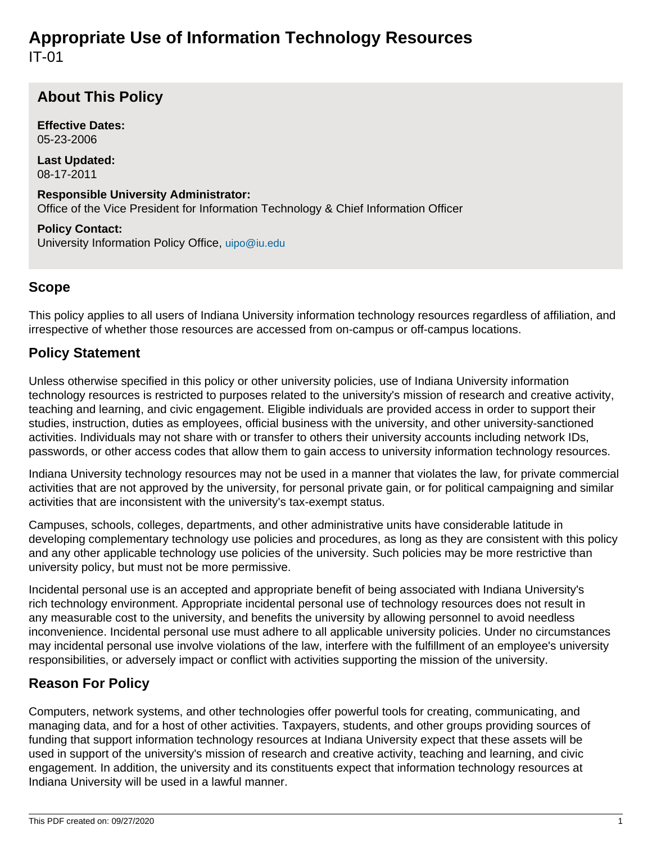# **Appropriate Use of Information Technology Resources** IT-01

## **About This Policy**

**Effective Dates:** 05-23-2006

**Last Updated:** 08-17-2011

**Responsible University Administrator:** Office of the Vice President for Information Technology & Chief Information Officer

**Policy Contact:** University Information Policy Office, [uipo@iu.edu](mailto:uipo@iu.edu)

### **Scope**

This policy applies to all users of Indiana University information technology resources regardless of affiliation, and irrespective of whether those resources are accessed from on-campus or off-campus locations.

### **Policy Statement**

Unless otherwise specified in this policy or other university policies, use of Indiana University information technology resources is restricted to purposes related to the university's mission of research and creative activity, teaching and learning, and civic engagement. Eligible individuals are provided access in order to support their studies, instruction, duties as employees, official business with the university, and other university-sanctioned activities. Individuals may not share with or transfer to others their university accounts including network IDs, passwords, or other access codes that allow them to gain access to university information technology resources.

Indiana University technology resources may not be used in a manner that violates the law, for private commercial activities that are not approved by the university, for personal private gain, or for political campaigning and similar activities that are inconsistent with the university's tax-exempt status.

Campuses, schools, colleges, departments, and other administrative units have considerable latitude in developing complementary technology use policies and procedures, as long as they are consistent with this policy and any other applicable technology use policies of the university. Such policies may be more restrictive than university policy, but must not be more permissive.

Incidental personal use is an accepted and appropriate benefit of being associated with Indiana University's rich technology environment. Appropriate incidental personal use of technology resources does not result in any measurable cost to the university, and benefits the university by allowing personnel to avoid needless inconvenience. Incidental personal use must adhere to all applicable university policies. Under no circumstances may incidental personal use involve violations of the law, interfere with the fulfillment of an employee's university responsibilities, or adversely impact or conflict with activities supporting the mission of the university.

## **Reason For Policy**

Computers, network systems, and other technologies offer powerful tools for creating, communicating, and managing data, and for a host of other activities. Taxpayers, students, and other groups providing sources of funding that support information technology resources at Indiana University expect that these assets will be used in support of the university's mission of research and creative activity, teaching and learning, and civic engagement. In addition, the university and its constituents expect that information technology resources at Indiana University will be used in a lawful manner.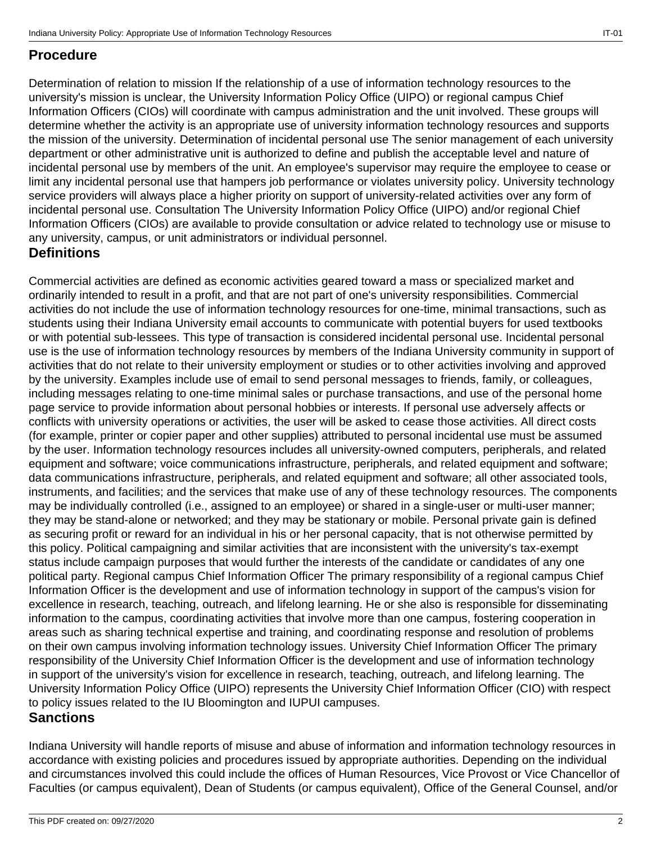#### **Procedure**

Determination of relation to mission If the relationship of a use of information technology resources to the university's mission is unclear, the University Information Policy Office (UIPO) or regional campus Chief Information Officers (CIOs) will coordinate with campus administration and the unit involved. These groups will determine whether the activity is an appropriate use of university information technology resources and supports the mission of the university. Determination of incidental personal use The senior management of each university department or other administrative unit is authorized to define and publish the acceptable level and nature of incidental personal use by members of the unit. An employee's supervisor may require the employee to cease or limit any incidental personal use that hampers job performance or violates university policy. University technology service providers will always place a higher priority on support of university-related activities over any form of incidental personal use. Consultation The University Information Policy Office (UIPO) and/or regional Chief Information Officers (CIOs) are available to provide consultation or advice related to technology use or misuse to any university, campus, or unit administrators or individual personnel.

#### **Definitions**

Commercial activities are defined as economic activities geared toward a mass or specialized market and ordinarily intended to result in a profit, and that are not part of one's university responsibilities. Commercial activities do not include the use of information technology resources for one-time, minimal transactions, such as students using their Indiana University email accounts to communicate with potential buyers for used textbooks or with potential sub-lessees. This type of transaction is considered incidental personal use. Incidental personal use is the use of information technology resources by members of the Indiana University community in support of activities that do not relate to their university employment or studies or to other activities involving and approved by the university. Examples include use of email to send personal messages to friends, family, or colleagues, including messages relating to one-time minimal sales or purchase transactions, and use of the personal home page service to provide information about personal hobbies or interests. If personal use adversely affects or conflicts with university operations or activities, the user will be asked to cease those activities. All direct costs (for example, printer or copier paper and other supplies) attributed to personal incidental use must be assumed by the user. Information technology resources includes all university-owned computers, peripherals, and related equipment and software; voice communications infrastructure, peripherals, and related equipment and software; data communications infrastructure, peripherals, and related equipment and software; all other associated tools, instruments, and facilities; and the services that make use of any of these technology resources. The components may be individually controlled (i.e., assigned to an employee) or shared in a single-user or multi-user manner; they may be stand-alone or networked; and they may be stationary or mobile. Personal private gain is defined as securing profit or reward for an individual in his or her personal capacity, that is not otherwise permitted by this policy. Political campaigning and similar activities that are inconsistent with the university's tax-exempt status include campaign purposes that would further the interests of the candidate or candidates of any one political party. Regional campus Chief Information Officer The primary responsibility of a regional campus Chief Information Officer is the development and use of information technology in support of the campus's vision for excellence in research, teaching, outreach, and lifelong learning. He or she also is responsible for disseminating information to the campus, coordinating activities that involve more than one campus, fostering cooperation in areas such as sharing technical expertise and training, and coordinating response and resolution of problems on their own campus involving information technology issues. University Chief Information Officer The primary responsibility of the University Chief Information Officer is the development and use of information technology in support of the university's vision for excellence in research, teaching, outreach, and lifelong learning. The University Information Policy Office (UIPO) represents the University Chief Information Officer (CIO) with respect to policy issues related to the IU Bloomington and IUPUI campuses.

#### **Sanctions**

Indiana University will handle reports of misuse and abuse of information and information technology resources in accordance with existing policies and procedures issued by appropriate authorities. Depending on the individual and circumstances involved this could include the offices of Human Resources, Vice Provost or Vice Chancellor of Faculties (or campus equivalent), Dean of Students (or campus equivalent), Office of the General Counsel, and/or